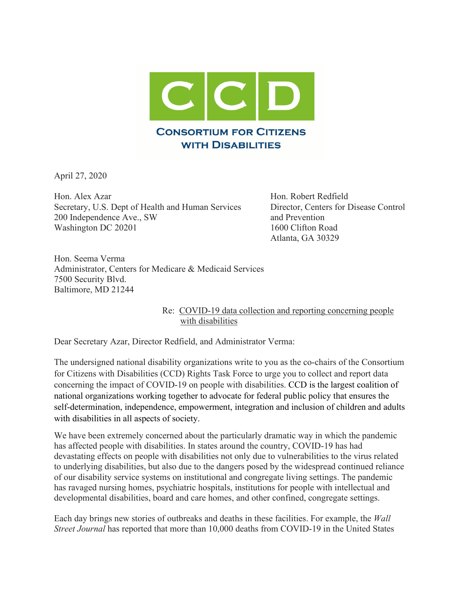

April 27, 2020

Hon. Alex Azar Hon. Robert Redfield Secretary, U.S. Dept of Health and Human Services Director, Centers for Disease Control 200 Independence Ave., SW and Prevention Washington DC 20201 1600 Clifton Road

Atlanta, GA 30329

Hon. Seema Verma Administrator, Centers for Medicare & Medicaid Services 7500 Security Blvd. Baltimore, MD 21244

> Re: COVID-19 data collection and reporting concerning people with disabilities

Dear Secretary Azar, Director Redfield, and Administrator Verma:

The undersigned national disability organizations write to you as the co-chairs of the Consortium for Citizens with Disabilities (CCD) Rights Task Force to urge you to collect and report data concerning the impact of COVID-19 on people with disabilities. CCD is the largest coalition of national organizations working together to advocate for federal public policy that ensures the self-determination, independence, empowerment, integration and inclusion of children and adults with disabilities in all aspects of society.

We have been extremely concerned about the particularly dramatic way in which the pandemic has affected people with disabilities. In states around the country, COVID-19 has had devastating effects on people with disabilities not only due to vulnerabilities to the virus related to underlying disabilities, but also due to the dangers posed by the widespread continued reliance of our disability service systems on institutional and congregate living settings. The pandemic has ravaged nursing homes, psychiatric hospitals, institutions for people with intellectual and developmental disabilities, board and care homes, and other confined, congregate settings.

Each day brings new stories of outbreaks and deaths in these facilities. For example, the *Wall Street Journal* has reported that more than 10,000 deaths from COVID-19 in the United States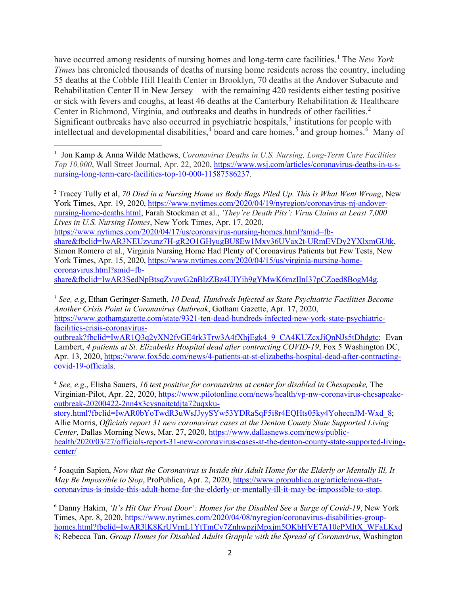have occurred among residents of nursing homes and long-term care facilities.<sup>[1](#page-1-0)</sup> The *New York Times* has chronicled thousands of deaths of nursing home residents across the country, including 55 deaths at the Cobble Hill Health Center in Brooklyn, 70 deaths at the Andover Subacute and Rehabilitation Center II in New Jersey—with the remaining 420 residents either testing positive or sick with fevers and coughs, at least 46 deaths at the Canterbury Rehabilitation & Healthcare Center in Richmond, Virginia, and outbreaks and deaths in hundreds of other facilities. [2](#page-1-1) Significant outbreaks have also occurred in psychiatric hospitals,<sup>[3](#page-1-2)</sup> institutions for people with intellectual and developmental disabilities,<sup>[4](#page-1-3)</sup> board and care homes,<sup>[5](#page-1-4)</sup> and group homes.<sup>[6](#page-1-5)</sup> Many of

<span id="page-1-1"></span>**<sup>2</sup>** Tracey Tully et al, *70 Died in a Nursing Home as Body Bags Piled Up. This is What Went Wrong*, New York Times, Apr. 19, 2020, [https://www.nytimes.com/2020/04/19/nyregion/coronavirus-nj-andover](https://www.nytimes.com/2020/04/19/nyregion/coronavirus-nj-andover-nursing-home-deaths.html)[nursing-home-deaths.html,](https://www.nytimes.com/2020/04/19/nyregion/coronavirus-nj-andover-nursing-home-deaths.html) Farah Stockman et al., *'They're Death Pits': Virus Claims at Least 7,000 Lives in U.S. Nursing Homes*, New York Times, Apr. 17, 2020, [https://www.nytimes.com/2020/04/17/us/coronavirus-nursing-homes.html?smid=fb](https://www.nytimes.com/2020/04/17/us/coronavirus-nursing-homes.html?smid=fb-share&fbclid=IwAR3NEUzyunz7H-gR2O1GHyugBU8Ew1Mxv36UVax2t-URmEVDy2YXlxmGUtk)[share&fbclid=IwAR3NEUzyunz7H-gR2O1GHyugBU8Ew1Mxv36UVax2t-URmEVDy2YXlxmGUtk,](https://www.nytimes.com/2020/04/17/us/coronavirus-nursing-homes.html?smid=fb-share&fbclid=IwAR3NEUzyunz7H-gR2O1GHyugBU8Ew1Mxv36UVax2t-URmEVDy2YXlxmGUtk) Simon Romero et al., Virginia Nursing Home Had Plenty of Coronavirus Patients but Few Tests, New York Times, Apr. 15, 2020, [https://www.nytimes.com/2020/04/15/us/virginia-nursing-home](https://www.nytimes.com/2020/04/15/us/virginia-nursing-home-coronavirus.html?smid=fb-share&fbclid=IwAR3SedNpBtsqZvuwG2nBlzZBz4UIYih9gYMwK6mzIInI37pCZoed8BogM4g)[coronavirus.html?smid=fb](https://www.nytimes.com/2020/04/15/us/virginia-nursing-home-coronavirus.html?smid=fb-share&fbclid=IwAR3SedNpBtsqZvuwG2nBlzZBz4UIYih9gYMwK6mzIInI37pCZoed8BogM4g)[share&fbclid=IwAR3SedNpBtsqZvuwG2nBlzZBz4UIYih9gYMwK6mzIInI37pCZoed8BogM4g.](https://www.nytimes.com/2020/04/15/us/virginia-nursing-home-coronavirus.html?smid=fb-share&fbclid=IwAR3SedNpBtsqZvuwG2nBlzZBz4UIYih9gYMwK6mzIInI37pCZoed8BogM4g)

<span id="page-1-2"></span><sup>3</sup> *See, e.g*, Ethan Geringer-Sameth, *[10 Dead, Hundreds Infected as State Psychiatric Facilities Become](https://www.gothamgazette.com/state/9321-ten-dead-hundreds-infected-new-york-state-psychiatric-facilities-crisis-coronavirus-outbreak)  [Another Crisis Point in Coronavirus Outbreak](https://www.gothamgazette.com/state/9321-ten-dead-hundreds-infected-new-york-state-psychiatric-facilities-crisis-coronavirus-outbreak)*, Gotham Gazette, Apr. 17, 2020, [https://www.gothamgazette.com/state/9321-ten-dead-hundreds-infected-new-york-state-psychiatric](https://www.gothamgazette.com/state/9321-ten-dead-hundreds-infected-new-york-state-psychiatric-facilities-crisis-coronavirus-outbreak?fbclid=IwAR1Q3q2yXN2fvGE4rk3Trw3A4fXhjEgk4_9_CA4KUZcxJiQnNJs5tDhdgtc)[facilities-crisis-coronavirus](https://www.gothamgazette.com/state/9321-ten-dead-hundreds-infected-new-york-state-psychiatric-facilities-crisis-coronavirus-outbreak?fbclid=IwAR1Q3q2yXN2fvGE4rk3Trw3A4fXhjEgk4_9_CA4KUZcxJiQnNJs5tDhdgtc)[outbreak?fbclid=IwAR1Q3q2yXN2fvGE4rk3Trw3A4fXhjEgk4\\_9\\_CA4KUZcxJiQnNJs5tDhdgtc;](https://www.gothamgazette.com/state/9321-ten-dead-hundreds-infected-new-york-state-psychiatric-facilities-crisis-coronavirus-outbreak?fbclid=IwAR1Q3q2yXN2fvGE4rk3Trw3A4fXhjEgk4_9_CA4KUZcxJiQnNJs5tDhdgtc) Evan Lambert, *4 patients at St. Elizabeths Hospital dead after contracting COVID-19*, Fox 5 Washington DC, Apr. 13, 2020, [https://www.fox5dc.com/news/4-patients-at-st-elizabeths-hospital-dead-after-contracting](https://www.fox5dc.com/news/4-patients-at-st-elizabeths-hospital-dead-after-contracting-covid-19-officials)[covid-19-officials.](https://www.fox5dc.com/news/4-patients-at-st-elizabeths-hospital-dead-after-contracting-covid-19-officials)

<span id="page-1-3"></span><sup>4</sup> *See, e.g*., Elisha Sauers, *16 test positive for coronavirus at center for disabled in Chesapeake,* The Virginian-Pilot, Apr. 22, 2020, [https://www.pilotonline.com/news/health/vp-nw-coronavirus-chesapeake](https://www.pilotonline.com/news/health/vp-nw-coronavirus-chesapeake-outbreak-20200422-2nn4x3cysnaitctdjta72uqxku-story.html?fbclid=IwAR0bYoTwdR3uWsJJyySYw53YDRaSqF5i8r4EQHts05ky4YohecnJM-Wxd_8)[outbreak-20200422-2nn4x3cysnaitctdjta72uqxku-](https://www.pilotonline.com/news/health/vp-nw-coronavirus-chesapeake-outbreak-20200422-2nn4x3cysnaitctdjta72uqxku-story.html?fbclid=IwAR0bYoTwdR3uWsJJyySYw53YDRaSqF5i8r4EQHts05ky4YohecnJM-Wxd_8)

[story.html?fbclid=IwAR0bYoTwdR3uWsJJyySYw53YDRaSqF5i8r4EQHts05ky4YohecnJM-Wxd\\_8;](https://www.pilotonline.com/news/health/vp-nw-coronavirus-chesapeake-outbreak-20200422-2nn4x3cysnaitctdjta72uqxku-story.html?fbclid=IwAR0bYoTwdR3uWsJJyySYw53YDRaSqF5i8r4EQHts05ky4YohecnJM-Wxd_8) Allie Morris, *Officials report 31 new coronavirus cases at the Denton County State Supported Living Center*, Dallas Morning News, Mar. 27, 2020, [https://www.dallasnews.com/news/public](https://www.dallasnews.com/news/public-health/2020/03/27/officials-report-31-new-coronavirus-cases-at-the-denton-county-state-supported-living-center/)[health/2020/03/27/officials-report-31-new-coronavirus-cases-at-the-denton-county-state-supported-living](https://www.dallasnews.com/news/public-health/2020/03/27/officials-report-31-new-coronavirus-cases-at-the-denton-county-state-supported-living-center/)[center/](https://www.dallasnews.com/news/public-health/2020/03/27/officials-report-31-new-coronavirus-cases-at-the-denton-county-state-supported-living-center/)

<span id="page-1-4"></span><sup>5</sup> Joaquin Sapien, *Now that the Coronavirus is Inside this Adult Home for the Elderly or Mentally Ill, It May Be Impossible to Stop*, ProPublica, Apr. 2, 2020, [https://www.propublica.org/article/now-that](https://www.propublica.org/article/now-that-coronavirus-is-inside-this-adult-home-for-the-elderly-or-mentally-ill-it-may-be-impossible-to-stop)[coronavirus-is-inside-this-adult-home-for-the-elderly-or-mentally-ill-it-may-be-impossible-to-stop.](https://www.propublica.org/article/now-that-coronavirus-is-inside-this-adult-home-for-the-elderly-or-mentally-ill-it-may-be-impossible-to-stop)

<span id="page-1-5"></span><sup>6</sup> Danny Hakim, *'It's Hit Our Front Door': Homes for the Disabled See a Surge of Covid-19*, New York Times, Apr. 8, 2020, [https://www.nytimes.com/2020/04/08/nyregion/coronavirus-disabilities-group](https://www.nytimes.com/2020/04/08/nyregion/coronavirus-disabilities-group-homes.html?fbclid=IwAR3lK8KrUVrnL1YtTmCv7ZnhwpzjMpxjm5OKbHVE7A10ePMltX_WFaLKxd8)[homes.html?fbclid=IwAR3lK8KrUVrnL1YtTmCv7ZnhwpzjMpxjm5OKbHVE7A10ePMltX\\_WFaLKxd](https://www.nytimes.com/2020/04/08/nyregion/coronavirus-disabilities-group-homes.html?fbclid=IwAR3lK8KrUVrnL1YtTmCv7ZnhwpzjMpxjm5OKbHVE7A10ePMltX_WFaLKxd8) [8;](https://www.nytimes.com/2020/04/08/nyregion/coronavirus-disabilities-group-homes.html?fbclid=IwAR3lK8KrUVrnL1YtTmCv7ZnhwpzjMpxjm5OKbHVE7A10ePMltX_WFaLKxd8) Rebecca Tan, *Group Homes for Disabled Adults Grapple with the Spread of Coronavirus*, Washington

<span id="page-1-0"></span><sup>1</sup> Jon Kamp & Anna Wilde Mathews, *Coronavirus Deaths in U.S. Nursing, Long-Term Care Facilities Top 10,000*, Wall Street Journal, Apr. 22, 2020[, https://www.wsj.com/articles/coronavirus-deaths-in-u-s](https://www.wsj.com/articles/coronavirus-deaths-in-u-s-nursing-long-term-care-facilities-top-10-000-11587586237)[nursing-long-term-care-facilities-top-10-000-11587586237.](https://www.wsj.com/articles/coronavirus-deaths-in-u-s-nursing-long-term-care-facilities-top-10-000-11587586237)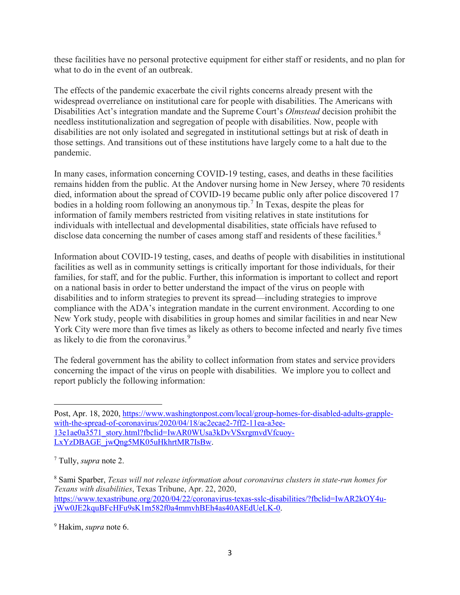these facilities have no personal protective equipment for either staff or residents, and no plan for what to do in the event of an outbreak.

The effects of the pandemic exacerbate the civil rights concerns already present with the widespread overreliance on institutional care for people with disabilities. The Americans with Disabilities Act's integration mandate and the Supreme Court's *Olmstead* decision prohibit the needless institutionalization and segregation of people with disabilities. Now, people with disabilities are not only isolated and segregated in institutional settings but at risk of death in those settings. And transitions out of these institutions have largely come to a halt due to the pandemic.

In many cases, information concerning COVID-19 testing, cases, and deaths in these facilities remains hidden from the public. At the Andover nursing home in New Jersey, where 70 residents died, information about the spread of COVID-19 became public only after police discovered 17 bodies in a holding room following an anonymous tip.<sup>[7](#page-2-0)</sup> In Texas, despite the pleas for information of family members restricted from visiting relatives in state institutions for individuals with intellectual and developmental disabilities, state officials have refused to disclose data concerning the number of cases among staff and residents of these facilities. $8$ 

Information about COVID-19 testing, cases, and deaths of people with disabilities in institutional facilities as well as in community settings is critically important for those individuals, for their families, for staff, and for the public. Further, this information is important to collect and report on a national basis in order to better understand the impact of the virus on people with disabilities and to inform strategies to prevent its spread—including strategies to improve compliance with the ADA's integration mandate in the current environment. According to one New York study, people with disabilities in group homes and similar facilities in and near New York City were more than five times as likely as others to become infected and nearly five times as likely to die from the coronavirus.<sup>[9](#page-2-2)</sup>

The federal government has the ability to collect information from states and service providers concerning the impact of the virus on people with disabilities. We implore you to collect and report publicly the following information:

<span id="page-2-1"></span><sup>8</sup> Sami Sparber, *Texas will not release information about coronavirus clusters in state-run homes for Texans with disabilities*, Texas Tribune, Apr. 22, 2020, [https://www.texastribune.org/2020/04/22/coronavirus-texas-sslc-disabilities/?fbclid=IwAR2kOY4u](https://www.texastribune.org/2020/04/22/coronavirus-texas-sslc-disabilities/?fbclid=IwAR2kOY4u-jWw0JE2kquBFcHFu9sK1m582f0a4mmvhBEh4as40A8EdUeLK-0)[jWw0JE2kquBFcHFu9sK1m582f0a4mmvhBEh4as40A8EdUeLK-0.](https://www.texastribune.org/2020/04/22/coronavirus-texas-sslc-disabilities/?fbclid=IwAR2kOY4u-jWw0JE2kquBFcHFu9sK1m582f0a4mmvhBEh4as40A8EdUeLK-0)

<span id="page-2-2"></span><sup>9</sup> Hakim, *supra* note 6.

Post, Apr. 18, 2020, [https://www.washingtonpost.com/local/group-homes-for-disabled-adults-grapple](https://www.washingtonpost.com/local/group-homes-for-disabled-adults-grapple-with-the-spread-of-coronavirus/2020/04/18/ac2ecae2-7ff2-11ea-a3ee-13e1ae0a3571_story.html?fbclid=IwAR0WUsa3kDvVSxrgmvdVfcuoy-LxYzDBAGE_jwQng5MK05uHkhrtMR7IsBw)[with-the-spread-of-coronavirus/2020/04/18/ac2ecae2-7ff2-11ea-a3ee-](https://www.washingtonpost.com/local/group-homes-for-disabled-adults-grapple-with-the-spread-of-coronavirus/2020/04/18/ac2ecae2-7ff2-11ea-a3ee-13e1ae0a3571_story.html?fbclid=IwAR0WUsa3kDvVSxrgmvdVfcuoy-LxYzDBAGE_jwQng5MK05uHkhrtMR7IsBw)[13e1ae0a3571\\_story.html?fbclid=IwAR0WUsa3kDvVSxrgmvdVfcuoy-](https://www.washingtonpost.com/local/group-homes-for-disabled-adults-grapple-with-the-spread-of-coronavirus/2020/04/18/ac2ecae2-7ff2-11ea-a3ee-13e1ae0a3571_story.html?fbclid=IwAR0WUsa3kDvVSxrgmvdVfcuoy-LxYzDBAGE_jwQng5MK05uHkhrtMR7IsBw)[LxYzDBAGE\\_jwQng5MK05uHkhrtMR7IsBw.](https://www.washingtonpost.com/local/group-homes-for-disabled-adults-grapple-with-the-spread-of-coronavirus/2020/04/18/ac2ecae2-7ff2-11ea-a3ee-13e1ae0a3571_story.html?fbclid=IwAR0WUsa3kDvVSxrgmvdVfcuoy-LxYzDBAGE_jwQng5MK05uHkhrtMR7IsBw)

<span id="page-2-0"></span><sup>7</sup> Tully, *supra* note 2.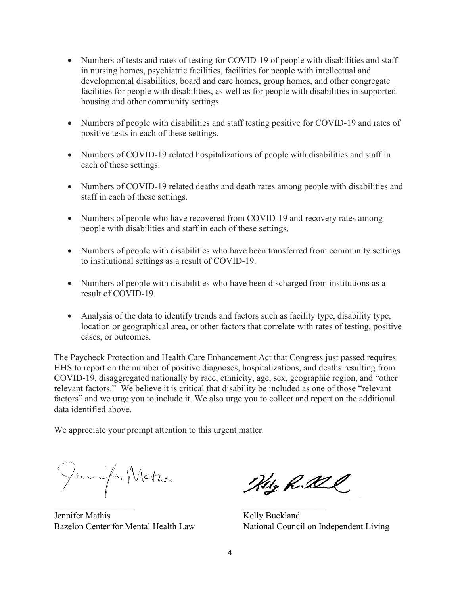- Numbers of tests and rates of testing for COVID-19 of people with disabilities and staff in nursing homes, psychiatric facilities, facilities for people with intellectual and developmental disabilities, board and care homes, group homes, and other congregate facilities for people with disabilities, as well as for people with disabilities in supported housing and other community settings.
- Numbers of people with disabilities and staff testing positive for COVID-19 and rates of positive tests in each of these settings.
- Numbers of COVID-19 related hospitalizations of people with disabilities and staff in each of these settings.
- Numbers of COVID-19 related deaths and death rates among people with disabilities and staff in each of these settings.
- Numbers of people who have recovered from COVID-19 and recovery rates among people with disabilities and staff in each of these settings.
- Numbers of people with disabilities who have been transferred from community settings to institutional settings as a result of COVID-19.
- Numbers of people with disabilities who have been discharged from institutions as a result of COVID-19.
- Analysis of the data to identify trends and factors such as facility type, disability type, location or geographical area, or other factors that correlate with rates of testing, positive cases, or outcomes.

The Paycheck Protection and Health Care Enhancement Act that Congress just passed requires HHS to report on the number of positive diagnoses, hospitalizations, and deaths resulting from COVID-19, disaggregated nationally by race, ethnicity, age, sex, geographic region, and "other relevant factors." We believe it is critical that disability be included as one of those "relevant factors" and we urge you to include it. We also urge you to collect and report on the additional data identified above.

We appreciate your prompt attention to this urgent matter.

Jemifa Matros

Jennifer Mathis Kelly Buckland

Hely Robert

 $\overline{\phantom{a}}$  , and the contract of the contract of the contract of the contract of the contract of the contract of the contract of the contract of the contract of the contract of the contract of the contract of the contrac Bazelon Center for Mental Health Law National Council on Independent Living